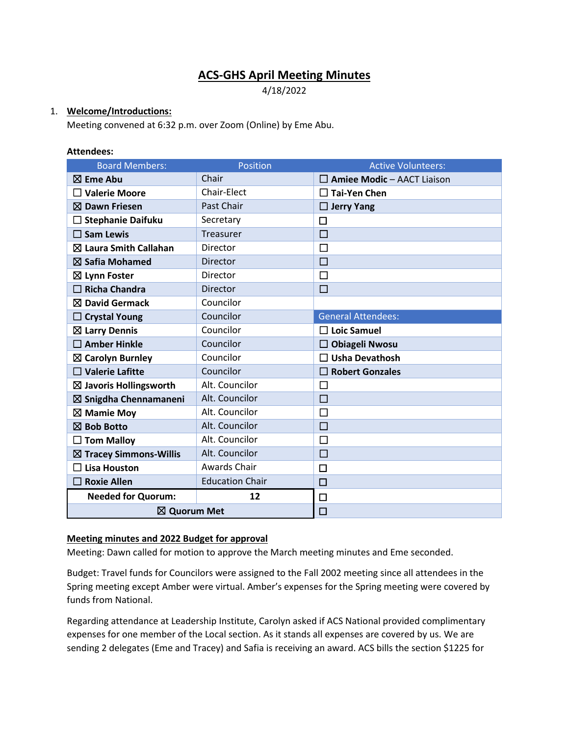# **ACS-GHS April Meeting Minutes**

4/18/2022

## 1. **Welcome/Introductions:**

Meeting convened at 6:32 p.m. over Zoom (Online) by Eme Abu.

#### **Attendees:**

| <b>Board Members:</b>             | Position               | <b>Active Volunteers:</b>         |
|-----------------------------------|------------------------|-----------------------------------|
| $\boxtimes$ Eme Abu               | Chair                  | $\Box$ Amiee Modic - AACT Liaison |
| $\Box$ Valerie Moore              | <b>Chair-Elect</b>     | $\sqsupset$ Tai-Yen Chen          |
| $\boxtimes$ Dawn Friesen          | Past Chair             | $\Box$ Jerry Yang                 |
| <b>Stephanie Daifuku</b>          | Secretary              | $\Box$                            |
| $\square$ Sam Lewis               | Treasurer              | □                                 |
| $\boxtimes$ Laura Smith Callahan  | <b>Director</b>        | □                                 |
| $\boxtimes$ Safia Mohamed         | Director               | □                                 |
| $\boxtimes$ Lynn Foster           | Director               | □                                 |
| <b>Richa Chandra</b>              | Director               | □                                 |
| $\boxtimes$ David Germack         | Councilor              |                                   |
| <b>Crystal Young</b>              | Councilor              | <b>General Attendees:</b>         |
| $\boxtimes$ Larry Dennis          | Councilor              | $\Box$ Loic Samuel                |
| $\square$ Amber Hinkle            | Councilor              | <b>Obiageli Nwosu</b>             |
| $\boxtimes$ Carolyn Burnley       | Councilor              | <b>Usha Devathosh</b>             |
| $\Box$ Valerie Lafitte            | Councilor              | <b>Robert Gonzales</b>            |
| $\boxtimes$ Javoris Hollingsworth | Alt. Councilor         | $\Box$                            |
| $\boxtimes$ Snigdha Chennamaneni  | Alt. Councilor         | $\Box$                            |
| $\boxtimes$ Mamie Moy             | Alt. Councilor         | $\Box$                            |
| $\boxtimes$ Bob Botto             | Alt. Councilor         | $\Box$                            |
| $\Box$ Tom Malloy                 | Alt. Councilor         | □                                 |
| $\boxtimes$ Tracey Simmons-Willis | Alt. Councilor         | $\Box$                            |
| $\Box$ Lisa Houston               | Awards Chair           | $\Box$                            |
| <b>Roxie Allen</b>                | <b>Education Chair</b> | $\Box$                            |
| <b>Needed for Quorum:</b>         | 12                     | $\Box$                            |
| ⊠ Quorum Met                      |                        | $\Box$                            |

## **Meeting minutes and 2022 Budget for approval**

Meeting: Dawn called for motion to approve the March meeting minutes and Eme seconded.

Budget: Travel funds for Councilors were assigned to the Fall 2002 meeting since all attendees in the Spring meeting except Amber were virtual. Amber's expenses for the Spring meeting were covered by funds from National.

Regarding attendance at Leadership Institute, Carolyn asked if ACS National provided complimentary expenses for one member of the Local section. As it stands all expenses are covered by us. We are sending 2 delegates (Eme and Tracey) and Safia is receiving an award. ACS bills the section \$1225 for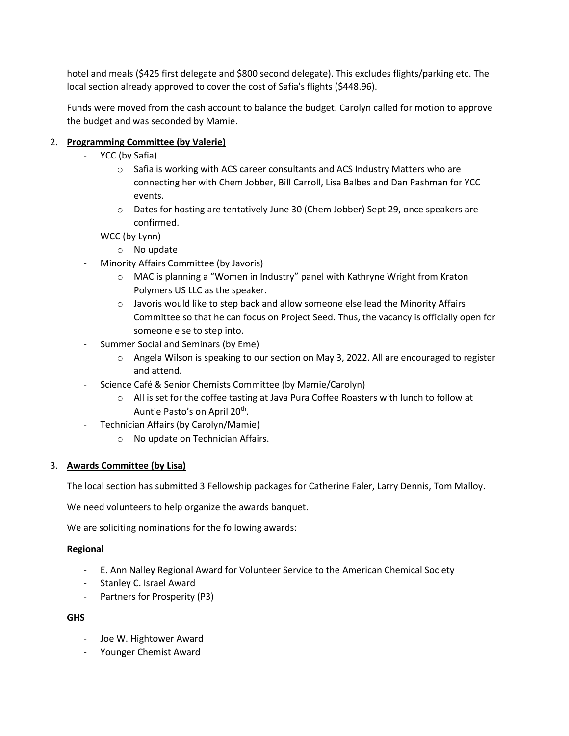hotel and meals (\$425 first delegate and \$800 second delegate). This excludes flights/parking etc. The local section already approved to cover the cost of Safia's flights (\$448.96).

Funds were moved from the cash account to balance the budget. Carolyn called for motion to approve the budget and was seconded by Mamie.

# 2. **Programming Committee (by Valerie)**

- YCC (by Safia)
	- o Safia is working with ACS career consultants and ACS Industry Matters who are connecting her with Chem Jobber, Bill Carroll, Lisa Balbes and Dan Pashman for YCC events.
	- o Dates for hosting are tentatively June 30 (Chem Jobber) Sept 29, once speakers are confirmed.
- WCC (by Lynn)
	- o No update
- Minority Affairs Committee (by Javoris)
	- $\circ$  MAC is planning a "Women in Industry" panel with Kathryne Wright from Kraton Polymers US LLC as the speaker.
	- $\circ$  Javoris would like to step back and allow someone else lead the Minority Affairs Committee so that he can focus on Project Seed. Thus, the vacancy is officially open for someone else to step into.
- Summer Social and Seminars (by Eme)
	- o Angela Wilson is speaking to our section on May 3, 2022. All are encouraged to register and attend.
- Science Café & Senior Chemists Committee (by Mamie/Carolyn)
	- o All is set for the coffee tasting at Java Pura Coffee Roasters with lunch to follow at Auntie Pasto's on April 20<sup>th</sup>.
- Technician Affairs (by Carolyn/Mamie)
	- o No update on Technician Affairs.

# 3. **Awards Committee (by Lisa)**

The local section has submitted 3 Fellowship packages for Catherine Faler, Larry Dennis, Tom Malloy.

We need volunteers to help organize the awards banquet.

We are soliciting nominations for the following awards:

## **Regional**

- E. Ann Nalley Regional Award for Volunteer Service to the American Chemical Society
- Stanley C. Israel Award
- Partners for Prosperity (P3)

# **GHS**

- Joe W. Hightower Award
- Younger Chemist Award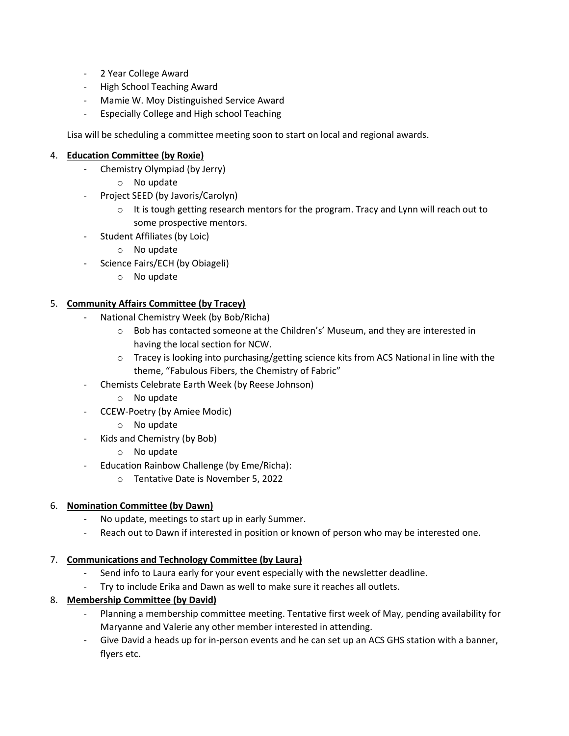- 2 Year College Award
- High School Teaching Award
- Mamie W. Moy Distinguished Service Award
- Especially College and High school Teaching

Lisa will be scheduling a committee meeting soon to start on local and regional awards.

## 4. **Education Committee (by Roxie)**

- Chemistry Olympiad (by Jerry)
	- o No update
- Project SEED (by Javoris/Carolyn)
	- $\circ$  It is tough getting research mentors for the program. Tracy and Lynn will reach out to some prospective mentors.
- Student Affiliates (by Loic)
	- o No update
- Science Fairs/ECH (by Obiageli)
	- o No update

## 5. **Community Affairs Committee (by Tracey)**

- National Chemistry Week (by Bob/Richa)
	- $\circ$  Bob has contacted someone at the Children's' Museum, and they are interested in having the local section for NCW.
	- o Tracey is looking into purchasing/getting science kits from ACS National in line with the theme, "Fabulous Fibers, the Chemistry of Fabric"
- Chemists Celebrate Earth Week (by Reese Johnson)
	- o No update
- CCEW-Poetry (by Amiee Modic)
	- o No update
- Kids and Chemistry (by Bob)
	- o No update
- Education Rainbow Challenge (by Eme/Richa):
	- o Tentative Date is November 5, 2022

## 6. **Nomination Committee (by Dawn)**

- No update, meetings to start up in early Summer.
- Reach out to Dawn if interested in position or known of person who may be interested one.

## 7. **Communications and Technology Committee (by Laura)**

- Send info to Laura early for your event especially with the newsletter deadline.
- Try to include Erika and Dawn as well to make sure it reaches all outlets.

# 8. **Membership Committee (by David)**

- Planning a membership committee meeting. Tentative first week of May, pending availability for Maryanne and Valerie any other member interested in attending.
- Give David a heads up for in-person events and he can set up an ACS GHS station with a banner, flyers etc.